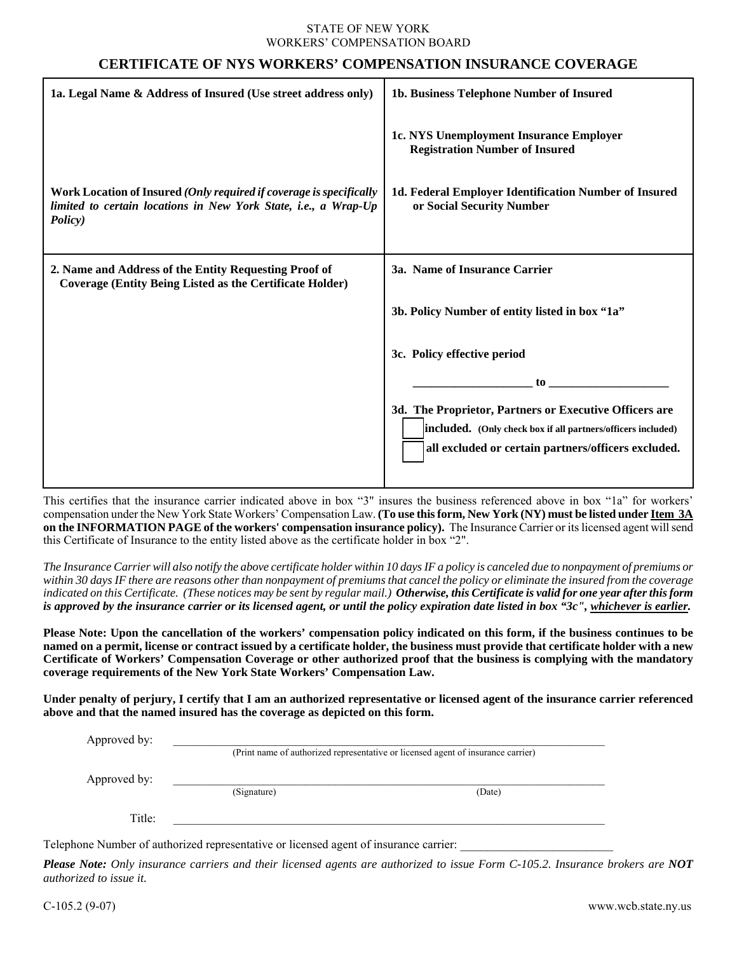## STATE OF NEW YORK WORKERS' COMPENSATION BOARD

## **CERTIFICATE OF NYS WORKERS' COMPENSATION INSURANCE COVERAGE**

| 1a. Legal Name & Address of Insured (Use street address only)                                                                                     | 1b. Business Telephone Number of Insured                                                                                                                                      |
|---------------------------------------------------------------------------------------------------------------------------------------------------|-------------------------------------------------------------------------------------------------------------------------------------------------------------------------------|
|                                                                                                                                                   | 1c. NYS Unemployment Insurance Employer<br><b>Registration Number of Insured</b>                                                                                              |
| Work Location of Insured (Only required if coverage is specifically<br>limited to certain locations in New York State, i.e., a Wrap-Up<br>Policy) | 1d. Federal Employer Identification Number of Insured<br>or Social Security Number                                                                                            |
| 2. Name and Address of the Entity Requesting Proof of<br><b>Coverage (Entity Being Listed as the Certificate Holder)</b>                          | 3a. Name of Insurance Carrier                                                                                                                                                 |
|                                                                                                                                                   | 3b. Policy Number of entity listed in box "1a"                                                                                                                                |
|                                                                                                                                                   | 3c. Policy effective period                                                                                                                                                   |
|                                                                                                                                                   | to                                                                                                                                                                            |
|                                                                                                                                                   | 3d. The Proprietor, Partners or Executive Officers are<br>included. (Only check box if all partners/officers included)<br>all excluded or certain partners/officers excluded. |

This certifies that the insurance carrier indicated above in box "3" insures the business referenced above in box "1a" for workers' compensation under the New York State Workers' Compensation Law. **(To use this form, New York (NY) must be listed under Item 3A on the INFORMATION PAGE of the workers' compensation insurance policy).** The Insurance Carrier or its licensed agent will send this Certificate of Insurance to the entity listed above as the certificate holder in box "2".

*The Insurance Carrier will also notify the above certificate holder within 10 days IF a policy is canceled due to nonpayment of premiums or within 30 days IF there are reasons other than nonpayment of premiums that cancel the policy or eliminate the insured from the coverage*  indicated on this Certificate. (These notices may be sent by regular mail.) Otherwise, this Certificate is valid for one year after this form *is approved by the insurance carrier or its licensed agent, or until the policy expiration date listed in box "3c", whichever is earlier.*

**Please Note: Upon the cancellation of the workers' compensation policy indicated on this form, if the business continues to be named on a permit, license or contract issued by a certificate holder, the business must provide that certificate holder with a new Certificate of Workers' Compensation Coverage or other authorized proof that the business is complying with the mandatory coverage requirements of the New York State Workers' Compensation Law.** 

**Under penalty of perjury, I certify that I am an authorized representative or licensed agent of the insurance carrier referenced above and that the named insured has the coverage as depicted on this form.** 

|              | (Print name of authorized representative or licensed agent of insurance carrier) |        |  |
|--------------|----------------------------------------------------------------------------------|--------|--|
| Approved by: | (Signature)                                                                      | (Date) |  |
|              |                                                                                  |        |  |
| Title:       |                                                                                  |        |  |

Telephone Number of authorized representative or licensed agent of insurance carrier:

*Please Note: Only insurance carriers and their licensed agents are authorized to issue Form C-105.2. Insurance brokers are NOT authorized to issue it.*